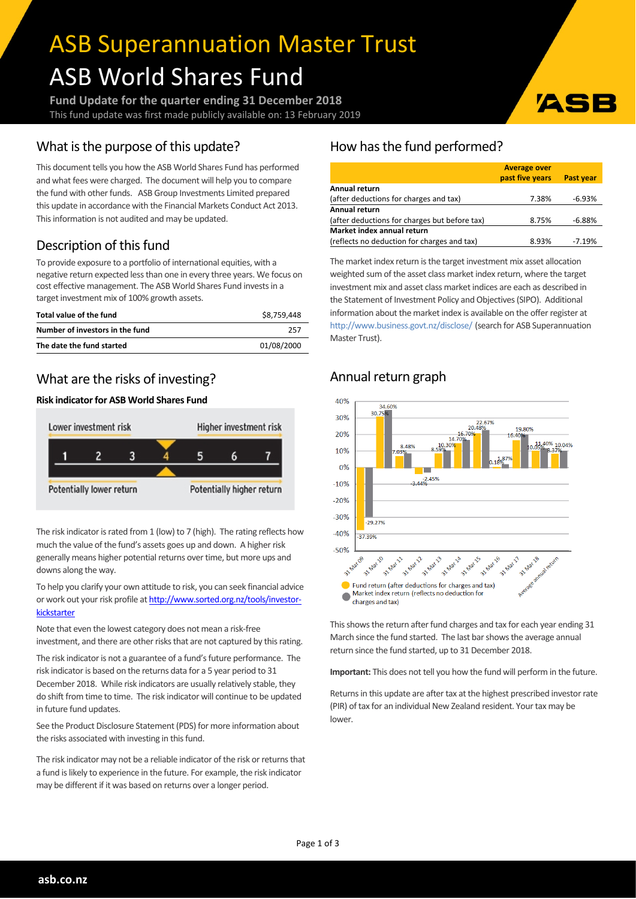# ASB Superannuation Master Trust ASB World Shares Fund

**Fund Update for the quarter ending 31 December 2018** This fund update was first made publicly available on: 13 February 2019

# What is the purpose of this update?

This document tells you how the ASB World Shares Fund has performed and what fees were charged. The document will help you to compare the fund with other funds. ASB Group Investments Limited prepared this update in accordance with the Financial Markets Conduct Act 2013. This information is not audited and may be updated.

# Description of this fund

To provide exposure to a portfolio of international equities, with a negative return expected less than one in every three years. We focus on cost effective management. The ASB World Shares Fund investsin a target investment mix of 100% growth assets.

| Total value of the fund         | \$8.759.448 |
|---------------------------------|-------------|
| Number of investors in the fund | 257         |
| The date the fund started       | 01/08/2000  |

## What are the risks of investing?

#### **Risk indicatorfor ASB World Shares Fund**



The risk indicator is rated from 1 (low) to 7 (high). The rating reflects how much the value of the fund's assets goes up and down. A higher risk generally means higher potential returns over time, but more ups and downs along the way.

To help you clarify your own attitude to risk, you can seek financial advice or work out your risk profile at [http://www.sorted.org.nz/tools/investor](http://www.sorted.org.nz/tools/investor-kickstarter)[kickstarter](http://www.sorted.org.nz/tools/investor-kickstarter)

Note that even the lowest category does not mean a risk-free investment, and there are other risks that are not captured by this rating.

The risk indicator is not a guarantee of a fund's future performance. The risk indicator is based on the returns data for a 5 year period to 31 December 2018. While risk indicators are usually relatively stable, they do shift from time to time. The risk indicator will continue to be updated in future fund updates.

See the Product Disclosure Statement (PDS) for more information about the risks associated with investing in this fund.

The risk indicator may not be a reliable indicator of the risk or returns that a fund is likely to experience in the future. For example, the risk indicator may be different if it was based on returns over a longer period.

# How has the fund performed?

|                                               | <b>Average over</b> |           |
|-----------------------------------------------|---------------------|-----------|
|                                               | past five years     | Past year |
| Annual return                                 |                     |           |
| (after deductions for charges and tax)        | 7.38%               | $-6.93%$  |
| Annual return                                 |                     |           |
| (after deductions for charges but before tax) | 8.75%               | $-6.88%$  |
| Market index annual return                    |                     |           |
| (reflects no deduction for charges and tax)   | 8.93%               | $-7.19%$  |

**ZSI** 

The market index return is the target investment mix asset allocation weighted sum of the asset class market index return, where the target investment mix and asset class market indices are each as described in the Statement of Investment Policy and Objectives(SIPO). Additional information about the market index is available on the offer register at <http://www.business.govt.nz/disclose/> (search for ASB Superannuation Master Trust).

# Annual return graph



This shows the return after fund charges and tax for each year ending 31 March since the fund started. The last bar shows the average annual return since the fund started, up to 31 December 2018.

**Important:** This does not tell you how the fund will perform in the future.

Returns in this update are after tax at the highest prescribed investor rate (PIR) of tax for an individual New Zealand resident. Your tax may be lower.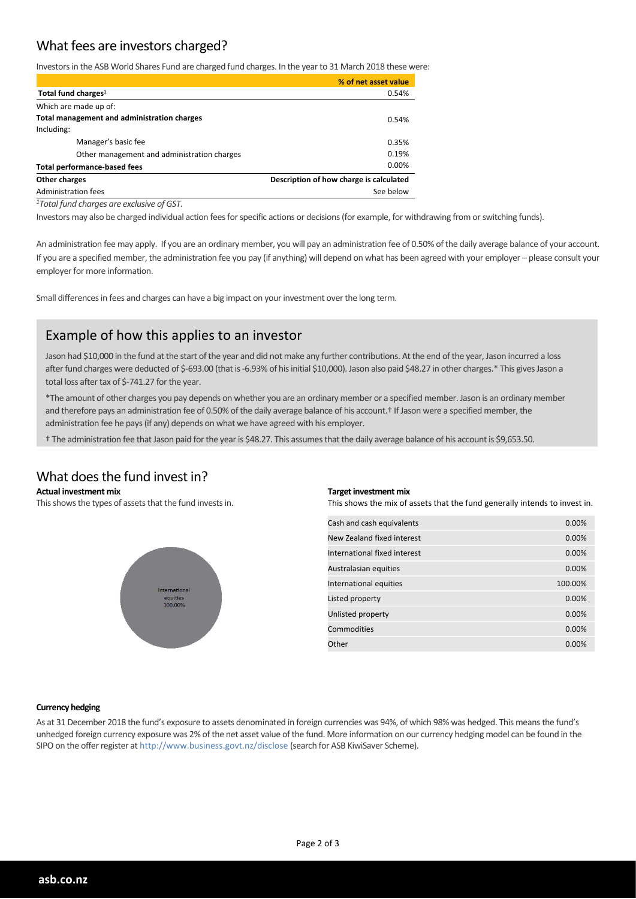## What fees are investors charged?

Investors in the ASB World Shares Fund are charged fund charges. In the year to 31 March 2018 these were:

|                                             | % of net asset value                    |
|---------------------------------------------|-----------------------------------------|
| Total fund charges <sup>1</sup>             | 0.54%                                   |
| Which are made up of:                       |                                         |
| Total management and administration charges | 0.54%                                   |
| Including:                                  |                                         |
| Manager's basic fee                         | 0.35%                                   |
| Other management and administration charges | 0.19%                                   |
| <b>Total performance-based fees</b>         | 0.00%                                   |
|                                             |                                         |
| Administration fees                         | See below                               |
| Other charges                               | Description of how charge is calculated |

*<sup>1</sup>Total fund charges are exclusive of GST.*

Investors may also be charged individual action fees for specific actions or decisions (for example, for withdrawing from or switching funds).

An administration fee may apply. If you are an ordinary member, you will pay an administration fee of 0.50% of the daily average balance of your account. If you are a specified member, the administration fee you pay (if anything) will depend on what has been agreed with your employer – please consult your employer for more information.

Small differences in fees and charges can have a big impact on your investment over the long term.

## Example of how this applies to an investor

Jason had \$10,000 in the fund at the start of the year and did not make any further contributions. At the end of the year, Jason incurred a loss after fund charges were deducted of \$-693.00 (that is -6.93% of his initial \$10,000). Jason also paid \$48.27 in other charges.\* This gives Jason a total loss after tax of \$-741.27 for the year.

\*The amount of other charges you pay depends on whether you are an ordinary member or a specified member. Jason is an ordinary member and therefore pays an administration fee of 0.50% of the daily average balance of his account.<sup>†</sup> If Jason were a specified member, the administration fee he pays(if any) depends on what we have agreed with his employer.

† The administration fee that Jason paid forthe yearis \$48.27. This assumesthat the daily average balance of his account is \$9,653.50.

### What does the fund invest in?

#### **Actual investment mix**

This shows the types of assets that the fund invests in.



#### **Target investment mix**

This shows the mix of assets that the fund generally intends to invest in.

| Cash and cash equivalents    | 0.00%   |
|------------------------------|---------|
| New Zealand fixed interest   | 0.00%   |
| International fixed interest | 0.00%   |
| Australasian equities        | 0.00%   |
| International equities       | 100.00% |
| Listed property              | 0.00%   |
| Unlisted property            | 0.00%   |
| Commodities                  | 0.00%   |
| Other                        | 0.00%   |

#### **Currency hedging**

As at 31 December 2018 the fund's exposure to assets denominated in foreign currencies was 94%, of which 98% was hedged. This meansthe fund's unhedged foreign currency exposure was 2% of the net asset value of the fund. More information on our currency hedging model can be found in the SIPO on the offerregister at http://www.business.govt.nz/disclose (search for ASB KiwiSaver Scheme).